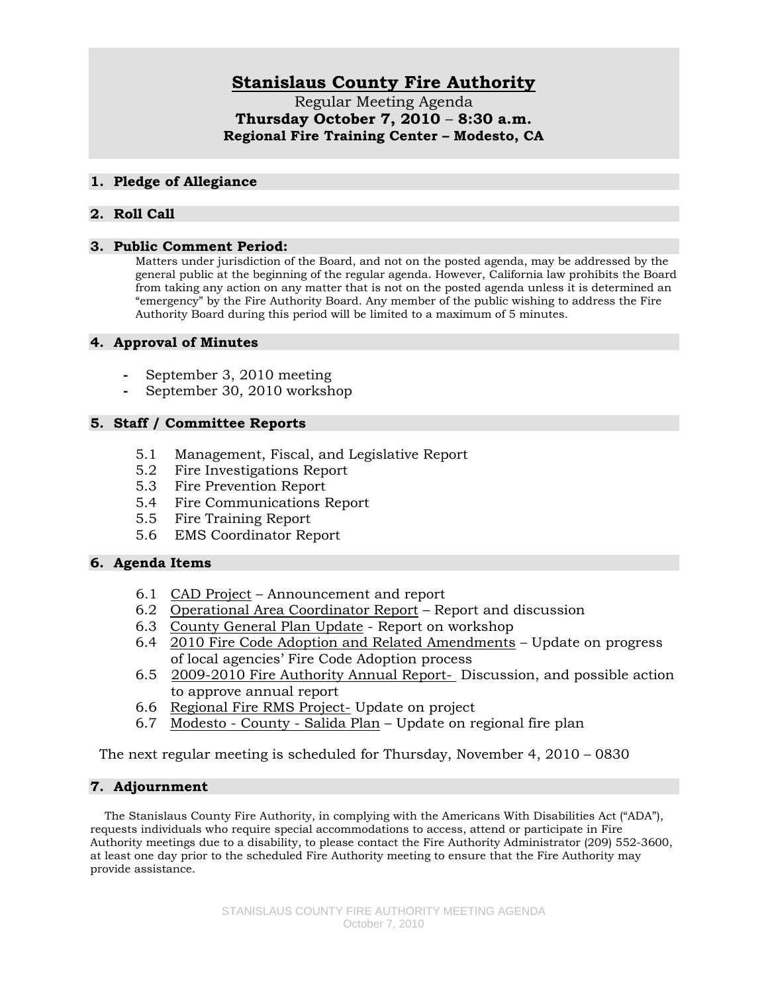# **Stanislaus County Fire Authority**

Regular Meeting Agenda **Thursday October 7, 2010** – **8:30 a.m. Regional Fire Training Center – Modesto, CA** 

#### **1. Pledge of Allegiance**

## **2. Roll Call**

#### **3. Public Comment Period:**

Matters under jurisdiction of the Board, and not on the posted agenda, may be addressed by the general public at the beginning of the regular agenda. However, California law prohibits the Board from taking any action on any matter that is not on the posted agenda unless it is determined an "emergency" by the Fire Authority Board. Any member of the public wishing to address the Fire Authority Board during this period will be limited to a maximum of 5 minutes.

### **4. Approval of Minutes**

- **-** September 3, 2010 meeting
- **-** September 30, 2010 workshop

### **5. Staff / Committee Reports**

- 5.1 Management, Fiscal, and Legislative Report
- 5.2 Fire Investigations Report
- 5.3 Fire Prevention Report
- 5.4 Fire Communications Report
- 5.5 Fire Training Report
- 5.6 EMS Coordinator Report

### **6. Agenda Items**

- 6.1 CAD Project Announcement and report
- 6.2 Operational Area Coordinator Report Report and discussion
- 6.3 County General Plan Update Report on workshop
- 6.4 2010 Fire Code Adoption and Related Amendments Update on progress of local agencies' Fire Code Adoption process
- 6.5 2009-2010 Fire Authority Annual Report- Discussion, and possible action to approve annual report
- 6.6 Regional Fire RMS Project- Update on project
- 6.7 Modesto County Salida Plan Update on regional fire plan

The next regular meeting is scheduled for Thursday, November 4, 2010 – 0830

### **7. Adjournment**

 The Stanislaus County Fire Authority, in complying with the Americans With Disabilities Act ("ADA"), requests individuals who require special accommodations to access, attend or participate in Fire Authority meetings due to a disability, to please contact the Fire Authority Administrator (209) 552-3600, at least one day prior to the scheduled Fire Authority meeting to ensure that the Fire Authority may provide assistance.